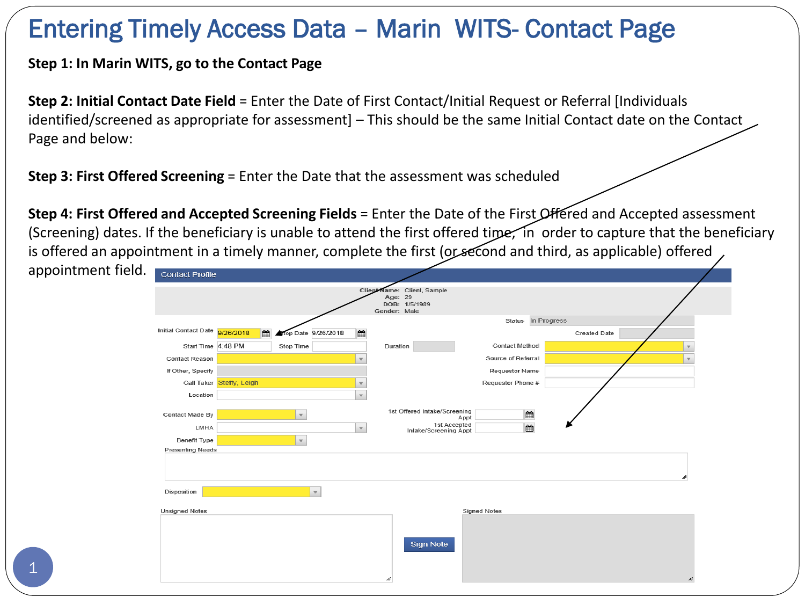## Entering Timely Access Data – Marin WITS- Contact Page

**Step 1: In Marin WITS, go to the Contact Page**

**Step 2: Initial Contact Date Field** = Enter the Date of First Contact/Initial Request or Referral [Individuals identified/screened as appropriate for assessment] – This should be the same Initial Contact date on the Contact Page and below:

**Step 3: First Offered Screening = Enter the Date that the assessment was scheduled** 

**Step 4: First Offered and Accepted Screening Fields** = Enter the Date of the First Offered and Accepted assessment (Screening) dates. If the beneficiary is unable to attend the first offered time, in order to capture that the beneficiary is offered an appointment in a timely manner, complete the first (or second and third, as applicable) offered

| appointment field. | <b>Contact Profile</b>                                                  |                          |                     |                         |                                       |                      |                     |              |  |
|--------------------|-------------------------------------------------------------------------|--------------------------|---------------------|-------------------------|---------------------------------------|----------------------|---------------------|--------------|--|
|                    | Client Name: Client, Sample<br>Age: 29<br>DOB: 1/5/1989<br>Gender: Male |                          |                     |                         |                                       |                      |                     |              |  |
|                    | Initial Contact Date 9/26/2018                                          | m                        | Stop Date 9/26/2018 | 曲                       |                                       | Status In Progress   | <b>Created Date</b> |              |  |
|                    | Start Time 4:48 PM                                                      |                          | Stop Time           |                         | Duration                              | Contact Method       |                     | $\mathbf{v}$ |  |
|                    | <b>Contact Reason</b>                                                   |                          |                     | $\mathbf{v}$            |                                       | Source of Referral   |                     | $\mathbf{v}$ |  |
|                    | If Other, Specify                                                       |                          |                     |                         |                                       | Requestor Name       |                     |              |  |
|                    |                                                                         | Call Taker Steffy, Leigh |                     | $\overline{\mathbf{v}}$ |                                       | Requestor Phone #    |                     |              |  |
|                    | Location                                                                |                          |                     | $\mathbf{v}$            |                                       |                      |                     |              |  |
|                    | Contact Made By                                                         |                          | $\mathbf{v}$        |                         | 1st Offered Intake/Screening          | $\mathbf{m}$<br>Appt |                     |              |  |
|                    | LMHA                                                                    |                          |                     | $\mathbf{v}$            | 1st Accepted<br>Intake/Screening Appt | m                    |                     |              |  |
|                    | Benefit Type                                                            |                          | $\mathbf{v}$        |                         |                                       |                      |                     |              |  |
|                    | <b>Presenting Needs</b>                                                 |                          |                     |                         |                                       |                      |                     |              |  |
|                    |                                                                         |                          |                     |                         |                                       |                      |                     |              |  |
|                    |                                                                         |                          |                     |                         |                                       |                      |                     |              |  |
|                    | Disposition                                                             |                          | $\mathbf{v}$        |                         |                                       |                      |                     |              |  |
|                    | <b>Unsigned Notes</b>                                                   |                          |                     |                         |                                       | <b>Signed Notes</b>  |                     |              |  |
|                    |                                                                         |                          |                     |                         |                                       |                      |                     |              |  |
|                    |                                                                         |                          |                     |                         | Sign Note                             |                      |                     |              |  |
|                    |                                                                         |                          |                     |                         |                                       |                      |                     |              |  |
| $\mathbf 1$        |                                                                         |                          |                     |                         |                                       |                      |                     |              |  |
|                    |                                                                         |                          |                     |                         |                                       |                      |                     |              |  |